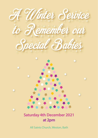

## **Saturday 4th December 2021 at 2pm**

 $\leftarrow$ 

All Saints Church, Weston, Bath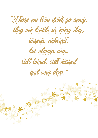"T hose we love don't go away,

they are beside us every day,

unseen, unheard,

but always near,

still loved, still missed

and very dear."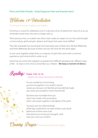### **Piano and Violin Prelude – Emily Krijgsman-Fehr and Amanda Aston**



The Reverend Narinder Tegally, Lead Chaplain

Christmas is a time for celebration, but it is also be a time of sadness for many of us as we remember loved ones who are no longer with us.

Their precious lives, no matter how short, have made an impact on our lives and brought us love and joy, grief and pain, dreams and hopes that were never fulfilled.

Their life and death has touched all who have been part of their lives. We feel differently and think differently because of them and we will never be the same again.

As we come together today there is a oneness of spirit. We come with a common experience and a bond which unites us all.

God of all, we come here together as people from different backgrounds, different ways of life – to share in this time to remember our children. We keep a moment of silence.



 *For you created my inmost being; you knit me together in my mother's womb. I praise you because I am fearfully and wonderfully made; your works are wonderful, I know that full well.*

 *My frame was not hidden from you when I was made in the secret place, when I was woven together in the depths of the earth.*

 *Your eyes saw my unformed body; all the days ordained for me were written in your book before one of them came to be. How precious to me are your thoughts, God! How vast is the sum of them!*

 $a\dot\psi$ e $\dot\iota$ . The Reverend Narinder Tegally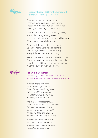

#### **Fleetingly Known Yet Ever Remembered**

 $\sim$  (to the tune "Morning Has Broken")

 Fleetingly known, yet ever remembered These are our children, now and always: Those whom we see not, we will forget not, Morning and evenings, all of our days.

 Lives that touched our lives, tenderly, briefly, Now in the one light living always. Named in our hearts now, safe from all harm now, We will remember, all of our days.

 As we recall them, silently name them, Open our hearts, Lord, now and always: Grant to us, grieving, love for the living: Strength for each other, all of our days.

 Safe in your peace, Lord, hold these our children, Grace, light and laughter, grant them each day: Cherish and hold them, till we may know them, When to your glory we find our way.



### **For a Child Born Dead**

~ Written by Elizabeth Jennings (1926 - 2001) ~ Read by Bel Mooney (Founder-Patron of SANDS)

 *What ceremony can we fit You into now? If you had come Out of this warm and noisy room To this, there'd be an opposite For us to know you by. We could Imagine you in lively mood.*

 *And then look at the other side, The mood drawn out of you, the breath Defeated by the power of death. But we have never seen you stride Ambitiously the world we know. You could not come and yet you go.*

 *But there is nothing now to mar Your clear refusal of our world. Not in our memories can we mould You or distort your character.*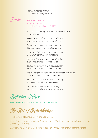*Then all our consolation is That grief can be as pure as this.* 



~ Author Unknown

~ Read by Frances Liardet – SANDS

 *We are connected, my child and I, by an invisible cord not seen by the eye.*

 *It's not like the cord that connects us 'til birth this cord can't been seen by any on Earth.*

 *This cord does its work right from the start. It binds us together attached to my heart.*

 *I know that it's there, though no one can see the invisible cord from my child to me.*

 *The strength of this cord is hard to describe. It can't be destroyed, it can't be denied.*

 *It's stronger than any cord man could create It withstands the test, can hold any weight.*

 *And though you are gone, though you're not here with me, The cord is still there but no one can see.*

 *It pulls at my heart, I am bruised... I am sore, But this cord is my lifeline as never before.*

 *I am thankful that we connect this way a mother and child death can't take it away.*



**Short Reflection** ~ by Sian Griffith, Assistant Chaplain

An Act of Remembering:

~ The Reverend Narinder Tegally and Becky Lane

*We invite you to place your Stars and Angels on to the Christmas tree lights and to light a candle in memory of your baby.* 

*During this we will listen to the playing of 'You Raise Me Up, and Wind Beneath My Wings'.*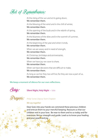Act of Remembrance.

At the rising of the sun and at its going down, We remember them. At the blowing of the wind and in the chill of winter, We remember them. At the opening of the buds and in the rebirth of spring, We remember them. At the blueness of the skies and in the warmth of summer, We remember them. At the beginning of the year and when it ends, We remember them. When we are weary and in need of strength, We remember them. At Christmas, birthdays and anniversaries, We remember them. When we have joy we crave to share, We remember them. When we have decisions that are difficult to make, We remember them. As long as we live they too will live; for they are now a part of us, We remember them.

#### **We keep a moment of silence for our own reflections.**



**Silent Night, Holy Night** ~ Solo

Philip Turner, Deputy Team Chaplain

#### *We say together*

 Dear God, into your hands we commend these precious children and entrust them to your merciful keeping. Reassure us that our children rest in your love. Be near to them and to us today and for evermore. Be our strength and guide. Lead us to know your healing and your peace and joy.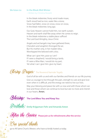#### **We listen to: In the Bleak Mid-Winter**  ~ Written by Christina Rossetti

 In the bleak midwinter, frosty wind made moan, Earth stood hard as iron, water like a stone; Snow had fallen, snow on snow, snow on snow, In the bleak midwinter, long ago.

 Our God, Heaven cannot hold Him, nor earth sustain; Heaven and earth shall flee away when He comes to reign. In the bleak midwinter a stable place sufficed The Lord God Almighty, Jesus Christ.

 Angels and archangels may have gathered there, Cherubim and seraphim thronged the air; But His mother only, in her maiden bliss, Worshipped the beloved with a kiss.

 What can I give Him, poor as I am? If I were a shepherd, I would bring a lamb; If I were a Wise Man, I would do my part; Yet what I can I give Him: give my heart.

# Bing Prayer: The Reverend Narinder Tegally

God of all be with us and with our families and friends on our life journey.

 Give us courage to live through the pain, strength to care and give love even when it is difficult, and the energy we need to live our lives.

 May your blessing and peace be with us now and with those whom we love and those whom we continue to love but see no more and cherish in our hearts. Amen.

Blessing: **The Lord Bless You and Keep You** 

Postlude: **Emily Krijgsman-Fehr and Amanda Aston**

After the Service Please join us for refreshments after the service

Our special thanks

go to All Saints Church, Weston, who have so kindly hosted us today.